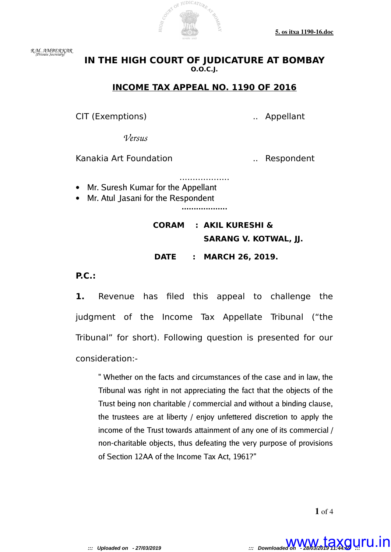

*R.M. AMBERKAR (Private Secretary)* 

## **IN THE HIGH COURT OF JUDICATURE AT BOMBAY O.O.C.J.**

### **INCOME TAX APPEAL NO. 1190 OF 2016**

CIT (Exemptions) .. Appellant

*Versus*

Kanakia Art Foundation ... Respondent

- ................... • Mr. Suresh Kumar for the Appellant
- Mr. Atul Jasani for the Respondent

**...................**

# **CORAM : AKIL KURESHI & SARANG V. KOTWAL, JJ.**

 **DATE : MARCH 26, 2019.**

**P.C.:**

**1.** Revenue has filed this appeal to challenge the judgment of the Income Tax Appellate Tribunal ("the Tribunal" for short). Following question is presented for our consideration:-

" Whether on the facts and circumstances of the case and in law, the Tribunal was right in not appreciating the fact that the objects of the Trust being non charitable / commercial and without a binding clause, the trustees are at liberty / enjoy unfettered discretion to apply the income of the Trust towards attainment of any one of its commercial / non-charitable objects, thus defeating the very purpose of provisions of Section 12AA of the Income Tax Act, 1961?"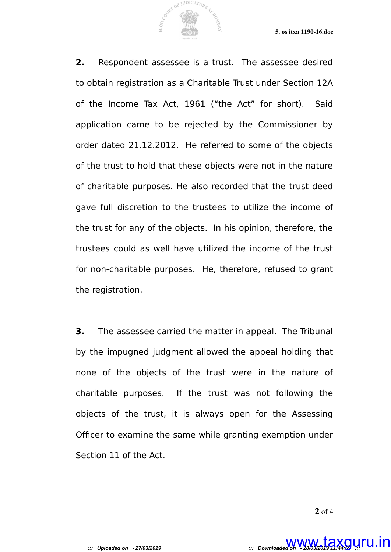**2.** Respondent assessee is a trust. The assessee desired to obtain registration as a Charitable Trust under Section 12A of the Income Tax Act, 1961 ("the Act" for short). Said application came to be rejected by the Commissioner by order dated 21.12.2012. He referred to some of the objects of the trust to hold that these objects were not in the nature of charitable purposes. He also recorded that the trust deed gave full discretion to the trustees to utilize the income of the trust for any of the objects. In his opinion, therefore, the trustees could as well have utilized the income of the trust for non-charitable purposes. He, therefore, refused to grant the registration.

JUDICATURE

**3.** The assessee carried the matter in appeal. The Tribunal by the impugned judgment allowed the appeal holding that none of the objects of the trust were in the nature of charitable purposes. If the trust was not following the objects of the trust, it is always open for the Assessing Officer to examine the same while granting exemption under Section 11 of the Act.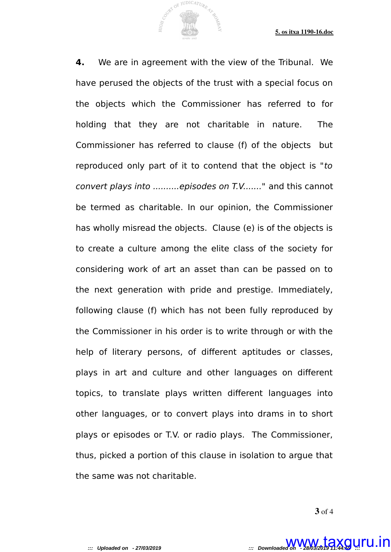**4.** We are in agreement with the view of the Tribunal. We have perused the objects of the trust with a special focus on the objects which the Commissioner has referred to for holding that they are not charitable in nature. The Commissioner has referred to clause (f) of the objects but reproduced only part of it to contend that the object is "to convert plays into ..........episodes on T.V......." and this cannot be termed as charitable. In our opinion, the Commissioner has wholly misread the objects. Clause (e) is of the objects is to create a culture among the elite class of the society for considering work of art an asset than can be passed on to the next generation with pride and prestige. Immediately, following clause (f) which has not been fully reproduced by the Commissioner in his order is to write through or with the help of literary persons, of different aptitudes or classes, plays in art and culture and other languages on different topics, to translate plays written different languages into other languages, or to convert plays into drams in to short plays or episodes or T.V. or radio plays. The Commissioner, thus, picked a portion of this clause in isolation to argue that the same was not charitable.

OF JUDICATURE